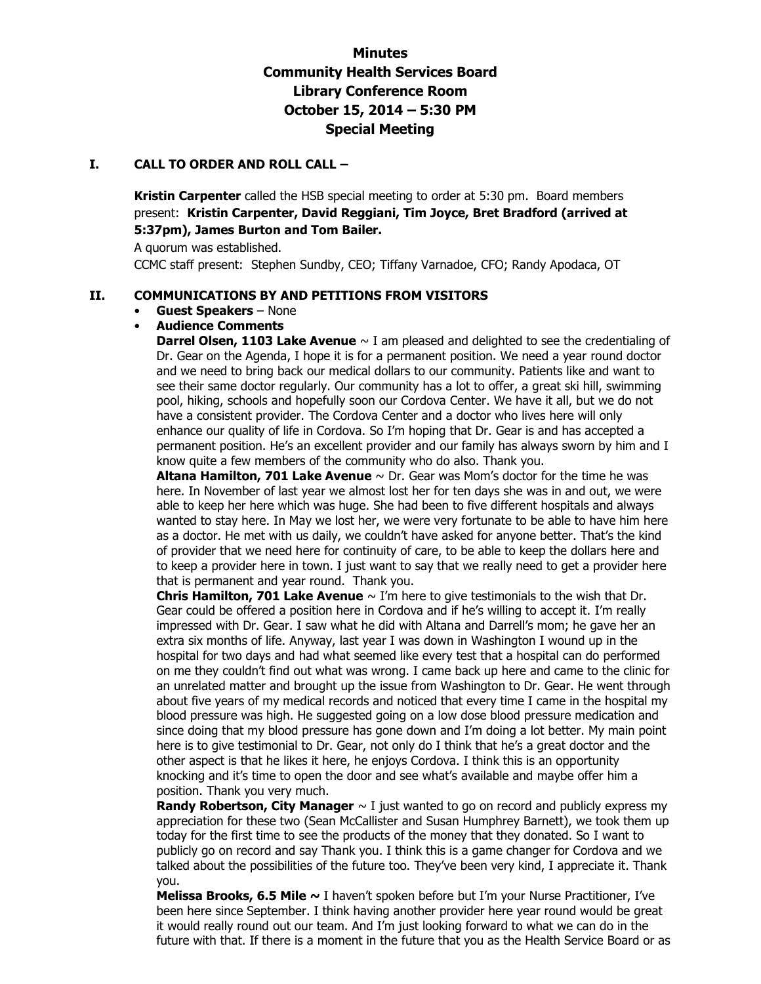# **Minutes Community Health Services Board Library Conference Room October 15, 2014 – 5:30 PM Special Meeting**

#### **I. CALL TO ORDER AND ROLL CALL –**

**Kristin Carpenter** called the HSB special meeting to order at 5:30 pm. Board members present: **Kristin Carpenter, David Reggiani, Tim Joyce, Bret Bradford (arrived at 5:37pm), James Burton and Tom Bailer.** 

A quorum was established.

CCMC staff present: Stephen Sundby, CEO; Tiffany Varnadoe, CFO; Randy Apodaca, OT

## **II. COMMUNICATIONS BY AND PETITIONS FROM VISITORS**

#### • **Guest Speakers** – None

## • **Audience Comments**

**Darrel Olsen, 1103 Lake Avenue**  $\sim$  I am pleased and delighted to see the credentialing of Dr. Gear on the Agenda, I hope it is for a permanent position. We need a year round doctor and we need to bring back our medical dollars to our community. Patients like and want to see their same doctor regularly. Our community has a lot to offer, a great ski hill, swimming pool, hiking, schools and hopefully soon our Cordova Center. We have it all, but we do not have a consistent provider. The Cordova Center and a doctor who lives here will only enhance our quality of life in Cordova. So I'm hoping that Dr. Gear is and has accepted a permanent position. He's an excellent provider and our family has always sworn by him and I know quite a few members of the community who do also. Thank you.

**Altana Hamilton, 701 Lake Avenue** ~ Dr. Gear was Mom's doctor for the time he was here. In November of last year we almost lost her for ten days she was in and out, we were able to keep her here which was huge. She had been to five different hospitals and always wanted to stay here. In May we lost her, we were very fortunate to be able to have him here as a doctor. He met with us daily, we couldn't have asked for anyone better. That's the kind of provider that we need here for continuity of care, to be able to keep the dollars here and to keep a provider here in town. I just want to say that we really need to get a provider here that is permanent and year round. Thank you.

**Chris Hamilton, 701 Lake Avenue** ~ I'm here to give testimonials to the wish that Dr. Gear could be offered a position here in Cordova and if he's willing to accept it. I'm really impressed with Dr. Gear. I saw what he did with Altana and Darrell's mom; he gave her an extra six months of life. Anyway, last year I was down in Washington I wound up in the hospital for two days and had what seemed like every test that a hospital can do performed on me they couldn't find out what was wrong. I came back up here and came to the clinic for an unrelated matter and brought up the issue from Washington to Dr. Gear. He went through about five years of my medical records and noticed that every time I came in the hospital my blood pressure was high. He suggested going on a low dose blood pressure medication and since doing that my blood pressure has gone down and I'm doing a lot better. My main point here is to give testimonial to Dr. Gear, not only do I think that he's a great doctor and the other aspect is that he likes it here, he enjoys Cordova. I think this is an opportunity knocking and it's time to open the door and see what's available and maybe offer him a position. Thank you very much.

**Randy Robertson, City Manager**  $\sim$  I just wanted to go on record and publicly express my appreciation for these two (Sean McCallister and Susan Humphrey Barnett), we took them up today for the first time to see the products of the money that they donated. So I want to publicly go on record and say Thank you. I think this is a game changer for Cordova and we talked about the possibilities of the future too. They've been very kind, I appreciate it. Thank you.

**Melissa Brooks, 6.5 Mile ~** I haven't spoken before but I'm your Nurse Practitioner, I've been here since September. I think having another provider here year round would be great it would really round out our team. And I'm just looking forward to what we can do in the future with that. If there is a moment in the future that you as the Health Service Board or as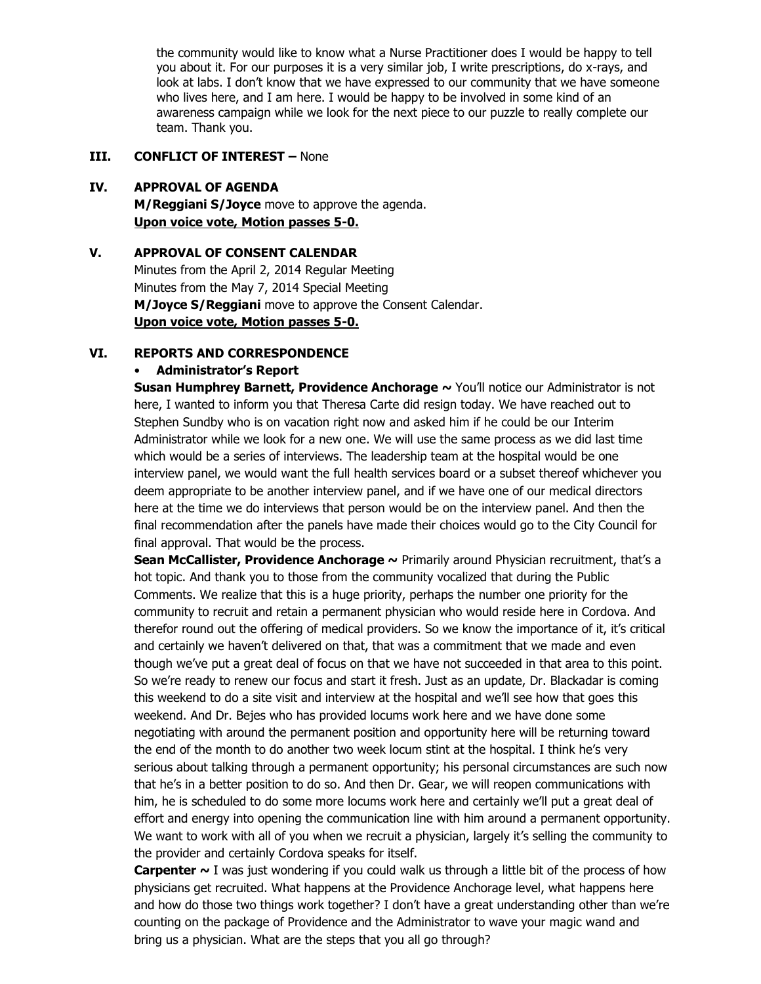the community would like to know what a Nurse Practitioner does I would be happy to tell you about it. For our purposes it is a very similar job, I write prescriptions, do x-rays, and look at labs. I don't know that we have expressed to our community that we have someone who lives here, and I am here. I would be happy to be involved in some kind of an awareness campaign while we look for the next piece to our puzzle to really complete our team. Thank you.

# **III. CONFLICT OF INTEREST –** None

# **IV. APPROVAL OF AGENDA**

**M/Reggiani S/Joyce** move to approve the agenda. **Upon voice vote, Motion passes 5-0.** 

# **V. APPROVAL OF CONSENT CALENDAR**  Minutes from the April 2, 2014 Regular Meeting Minutes from the May 7, 2014 Special Meeting **M/Joyce S/Reggiani** move to approve the Consent Calendar. **Upon voice vote, Motion passes 5-0.**

## **VI. REPORTS AND CORRESPONDENCE**

#### • **Administrator's Report**

**Susan Humphrey Barnett, Providence Anchorage ~ You'll notice our Administrator is not** here, I wanted to inform you that Theresa Carte did resign today. We have reached out to Stephen Sundby who is on vacation right now and asked him if he could be our Interim Administrator while we look for a new one. We will use the same process as we did last time which would be a series of interviews. The leadership team at the hospital would be one interview panel, we would want the full health services board or a subset thereof whichever you deem appropriate to be another interview panel, and if we have one of our medical directors here at the time we do interviews that person would be on the interview panel. And then the final recommendation after the panels have made their choices would go to the City Council for final approval. That would be the process.

**Sean McCallister, Providence Anchorage ~** Primarily around Physician recruitment, that's a hot topic. And thank you to those from the community vocalized that during the Public Comments. We realize that this is a huge priority, perhaps the number one priority for the community to recruit and retain a permanent physician who would reside here in Cordova. And therefor round out the offering of medical providers. So we know the importance of it, it's critical and certainly we haven't delivered on that, that was a commitment that we made and even though we've put a great deal of focus on that we have not succeeded in that area to this point. So we're ready to renew our focus and start it fresh. Just as an update, Dr. Blackadar is coming this weekend to do a site visit and interview at the hospital and we'll see how that goes this weekend. And Dr. Bejes who has provided locums work here and we have done some negotiating with around the permanent position and opportunity here will be returning toward the end of the month to do another two week locum stint at the hospital. I think he's very serious about talking through a permanent opportunity; his personal circumstances are such now that he's in a better position to do so. And then Dr. Gear, we will reopen communications with him, he is scheduled to do some more locums work here and certainly we'll put a great deal of effort and energy into opening the communication line with him around a permanent opportunity. We want to work with all of you when we recruit a physician, largely it's selling the community to the provider and certainly Cordova speaks for itself.

**Carpenter ~** I was just wondering if you could walk us through a little bit of the process of how physicians get recruited. What happens at the Providence Anchorage level, what happens here and how do those two things work together? I don't have a great understanding other than we're counting on the package of Providence and the Administrator to wave your magic wand and bring us a physician. What are the steps that you all go through?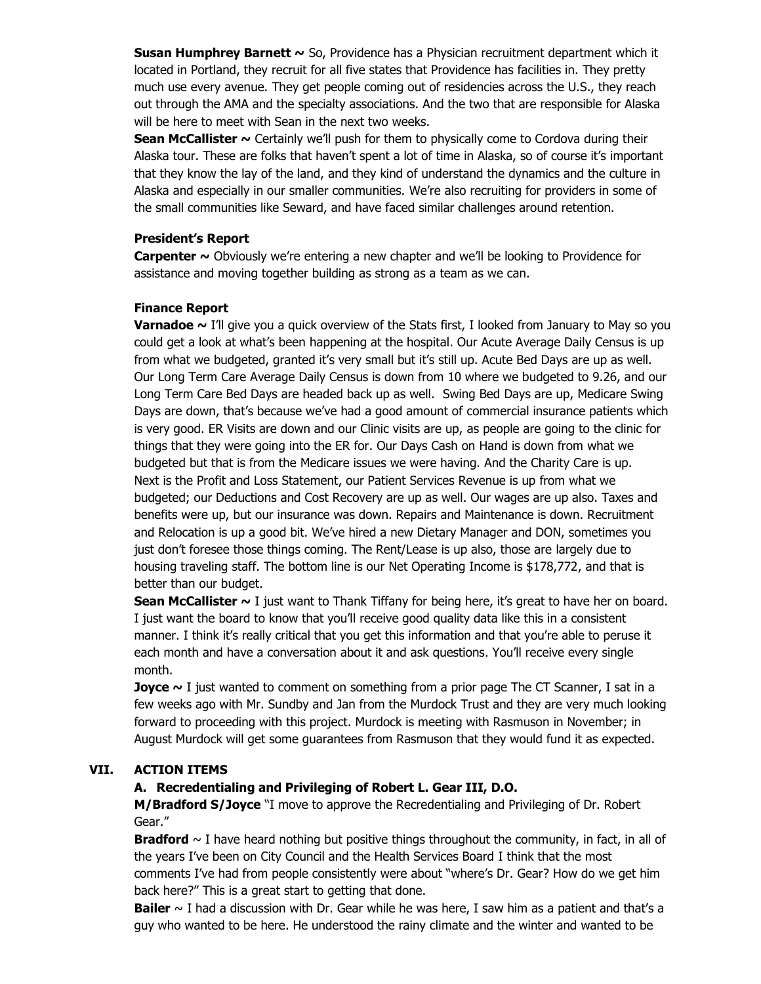**Susan Humphrey Barnett ~** So, Providence has a Physician recruitment department which it located in Portland, they recruit for all five states that Providence has facilities in. They pretty much use every avenue. They get people coming out of residencies across the U.S., they reach out through the AMA and the specialty associations. And the two that are responsible for Alaska will be here to meet with Sean in the next two weeks.

**Sean McCallister ~** Certainly we'll push for them to physically come to Cordova during their Alaska tour. These are folks that haven't spent a lot of time in Alaska, so of course it's important that they know the lay of the land, and they kind of understand the dynamics and the culture in Alaska and especially in our smaller communities. We're also recruiting for providers in some of the small communities like Seward, and have faced similar challenges around retention.

# **President's Report**

**Carpenter ~** Obviously we're entering a new chapter and we'll be looking to Providence for assistance and moving together building as strong as a team as we can.

# **Finance Report**

**Varnadoe ~** I'll give you a quick overview of the Stats first, I looked from January to May so you could get a look at what's been happening at the hospital. Our Acute Average Daily Census is up from what we budgeted, granted it's very small but it's still up. Acute Bed Days are up as well. Our Long Term Care Average Daily Census is down from 10 where we budgeted to 9.26, and our Long Term Care Bed Days are headed back up as well. Swing Bed Days are up, Medicare Swing Days are down, that's because we've had a good amount of commercial insurance patients which is very good. ER Visits are down and our Clinic visits are up, as people are going to the clinic for things that they were going into the ER for. Our Days Cash on Hand is down from what we budgeted but that is from the Medicare issues we were having. And the Charity Care is up. Next is the Profit and Loss Statement, our Patient Services Revenue is up from what we budgeted; our Deductions and Cost Recovery are up as well. Our wages are up also. Taxes and benefits were up, but our insurance was down. Repairs and Maintenance is down. Recruitment and Relocation is up a good bit. We've hired a new Dietary Manager and DON, sometimes you just don't foresee those things coming. The Rent/Lease is up also, those are largely due to housing traveling staff. The bottom line is our Net Operating Income is \$178,772, and that is better than our budget.

**Sean McCallister ~** I just want to Thank Tiffany for being here, it's great to have her on board. I just want the board to know that you'll receive good quality data like this in a consistent manner. I think it's really critical that you get this information and that you're able to peruse it each month and have a conversation about it and ask questions. You'll receive every single month.

**Joyce** ~ I just wanted to comment on something from a prior page The CT Scanner, I sat in a few weeks ago with Mr. Sundby and Jan from the Murdock Trust and they are very much looking forward to proceeding with this project. Murdock is meeting with Rasmuson in November; in August Murdock will get some guarantees from Rasmuson that they would fund it as expected.

# **VII. ACTION ITEMS**

## **A. Recredentialing and Privileging of Robert L. Gear III, D.O.**

**M/Bradford S/Joyce** "I move to approve the Recredentialing and Privileging of Dr. Robert Gear."

**Bradford**  $\sim$  I have heard nothing but positive things throughout the community, in fact, in all of the years I've been on City Council and the Health Services Board I think that the most comments I've had from people consistently were about "where's Dr. Gear? How do we get him back here?" This is a great start to getting that done.

**Bailer** ~ I had a discussion with Dr. Gear while he was here, I saw him as a patient and that's a guy who wanted to be here. He understood the rainy climate and the winter and wanted to be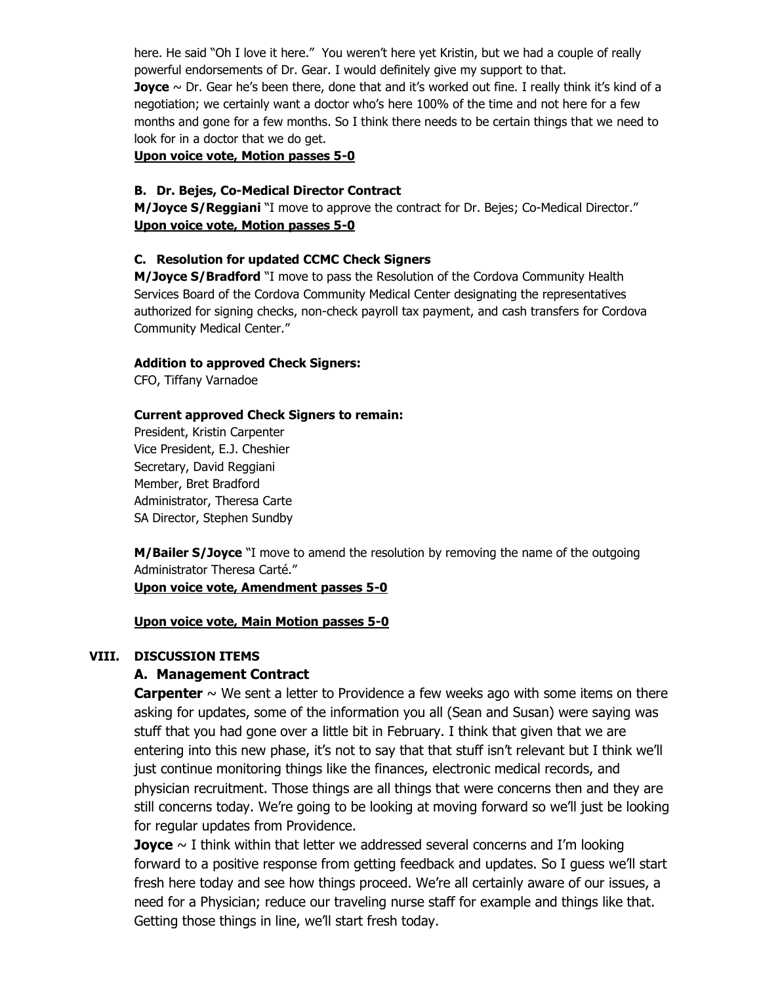here. He said "Oh I love it here." You weren't here yet Kristin, but we had a couple of really powerful endorsements of Dr. Gear. I would definitely give my support to that. **Joyce** ~ Dr. Gear he's been there, done that and it's worked out fine. I really think it's kind of a negotiation; we certainly want a doctor who's here 100% of the time and not here for a few months and gone for a few months. So I think there needs to be certain things that we need to look for in a doctor that we do get.

**Upon voice vote, Motion passes 5-0** 

#### **B. Dr. Bejes, Co-Medical Director Contract**

**M/Joyce S/Reggiani** "I move to approve the contract for Dr. Bejes; Co-Medical Director." **Upon voice vote, Motion passes 5-0** 

#### **C. Resolution for updated CCMC Check Signers**

**M/Joyce S/Bradford** "I move to pass the Resolution of the Cordova Community Health Services Board of the Cordova Community Medical Center designating the representatives authorized for signing checks, non-check payroll tax payment, and cash transfers for Cordova Community Medical Center."

#### **Addition to approved Check Signers:**

CFO, Tiffany Varnadoe

#### **Current approved Check Signers to remain:**

President, Kristin Carpenter Vice President, E.J. Cheshier Secretary, David Reggiani Member, Bret Bradford Administrator, Theresa Carte SA Director, Stephen Sundby

**M/Bailer S/Joyce** "I move to amend the resolution by removing the name of the outgoing Administrator Theresa Carté."

**Upon voice vote, Amendment passes 5-0** 

#### **Upon voice vote, Main Motion passes 5-0**

# **VIII. DISCUSSION ITEMS**

## **A. Management Contract**

**Carpenter**  $\sim$  We sent a letter to Providence a few weeks ago with some items on there asking for updates, some of the information you all (Sean and Susan) were saying was stuff that you had gone over a little bit in February. I think that given that we are entering into this new phase, it's not to say that that stuff isn't relevant but I think we'll just continue monitoring things like the finances, electronic medical records, and physician recruitment. Those things are all things that were concerns then and they are still concerns today. We're going to be looking at moving forward so we'll just be looking for regular updates from Providence.

**Joyce** ~ I think within that letter we addressed several concerns and I'm looking forward to a positive response from getting feedback and updates. So I guess we'll start fresh here today and see how things proceed. We're all certainly aware of our issues, a need for a Physician; reduce our traveling nurse staff for example and things like that. Getting those things in line, we'll start fresh today.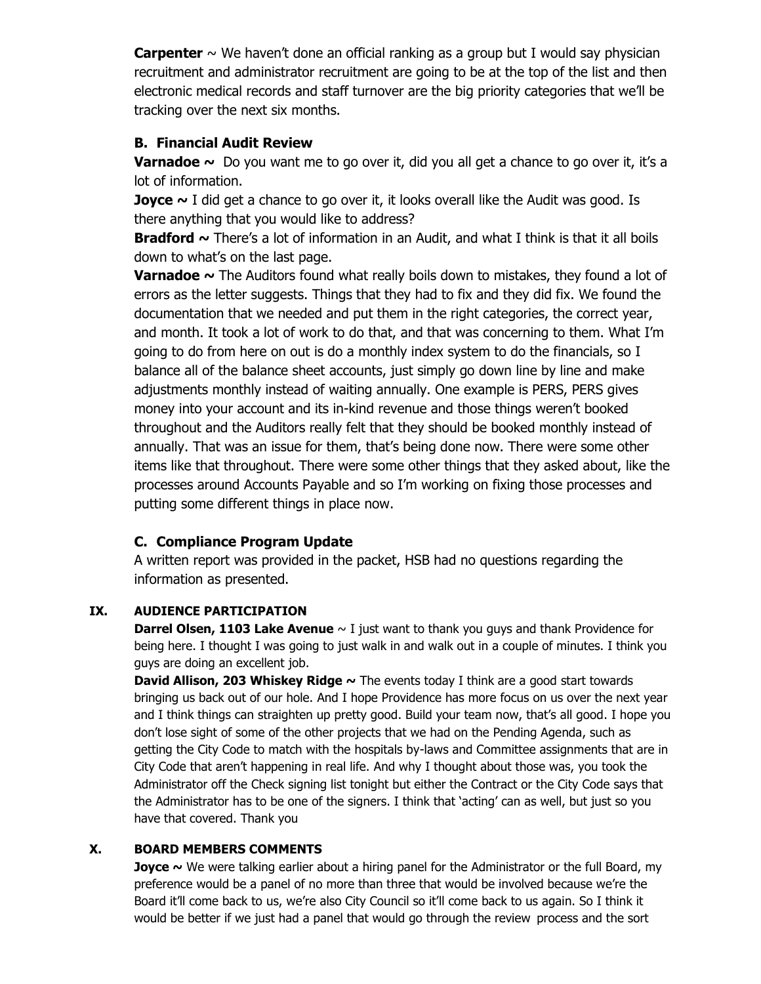**Carpenter** ~ We haven't done an official ranking as a group but I would say physician recruitment and administrator recruitment are going to be at the top of the list and then electronic medical records and staff turnover are the big priority categories that we'll be tracking over the next six months.

# **B. Financial Audit Review**

**Varnadoe** ~ Do you want me to go over it, did you all get a chance to go over it, it's a lot of information.

**Joyce** ~ I did get a chance to go over it, it looks overall like the Audit was good. Is there anything that you would like to address?

**Bradford ~** There's a lot of information in an Audit, and what I think is that it all boils down to what's on the last page.

**Varnadoe ~** The Auditors found what really boils down to mistakes, they found a lot of errors as the letter suggests. Things that they had to fix and they did fix. We found the documentation that we needed and put them in the right categories, the correct year, and month. It took a lot of work to do that, and that was concerning to them. What I'm going to do from here on out is do a monthly index system to do the financials, so I balance all of the balance sheet accounts, just simply go down line by line and make adjustments monthly instead of waiting annually. One example is PERS, PERS gives money into your account and its in-kind revenue and those things weren't booked throughout and the Auditors really felt that they should be booked monthly instead of annually. That was an issue for them, that's being done now. There were some other items like that throughout. There were some other things that they asked about, like the processes around Accounts Payable and so I'm working on fixing those processes and putting some different things in place now.

# **C. Compliance Program Update**

A written report was provided in the packet, HSB had no questions regarding the information as presented.

# **IX. AUDIENCE PARTICIPATION**

**Darrel Olsen, 1103 Lake Avenue**  $\sim$  I just want to thank you guys and thank Providence for being here. I thought I was going to just walk in and walk out in a couple of minutes. I think you guys are doing an excellent job.

**David Allison, 203 Whiskey Ridge ~** The events today I think are a good start towards bringing us back out of our hole. And I hope Providence has more focus on us over the next year and I think things can straighten up pretty good. Build your team now, that's all good. I hope you don't lose sight of some of the other projects that we had on the Pending Agenda, such as getting the City Code to match with the hospitals by-laws and Committee assignments that are in City Code that aren't happening in real life. And why I thought about those was, you took the Administrator off the Check signing list tonight but either the Contract or the City Code says that the Administrator has to be one of the signers. I think that 'acting' can as well, but just so you have that covered. Thank you

# **X. BOARD MEMBERS COMMENTS**

**Joyce** ~ We were talking earlier about a hiring panel for the Administrator or the full Board, my preference would be a panel of no more than three that would be involved because we're the Board it'll come back to us, we're also City Council so it'll come back to us again. So I think it would be better if we just had a panel that would go through the review process and the sort